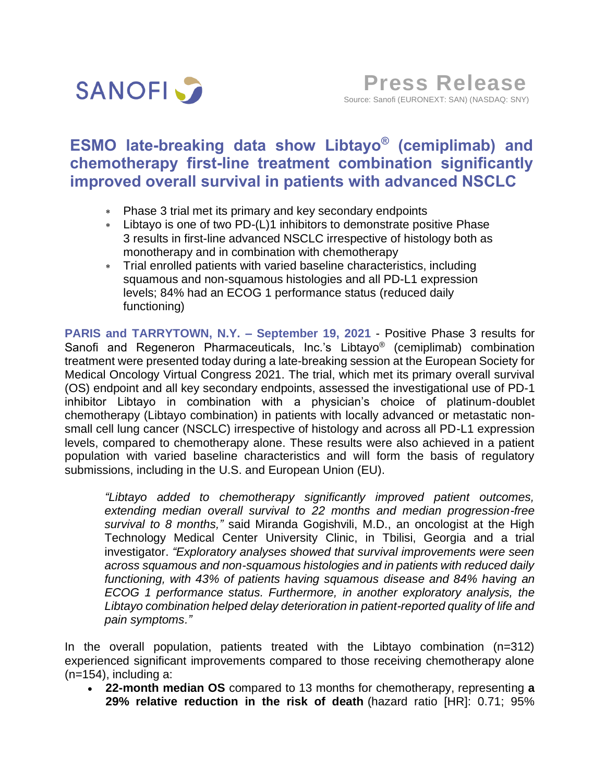

# **ESMO late-breaking data show Libtayo® (cemiplimab) and chemotherapy first-line treatment combination significantly improved overall survival in patients with advanced NSCLC**

- Phase 3 trial met its primary and key secondary endpoints
- Libtayo is one of two PD-(L)1 inhibitors to demonstrate positive Phase 3 results in first-line advanced NSCLC irrespective of histology both as monotherapy and in combination with chemotherapy
- Trial enrolled patients with varied baseline characteristics, including squamous and non-squamous histologies and all PD-L1 expression levels; 84% had an ECOG 1 performance status (reduced daily functioning)

**PARIS and TARRYTOWN, N.Y. – September 19, 2021** - Positive Phase 3 results for Sanofi and Regeneron Pharmaceuticals, Inc.'s Libtayo® (cemiplimab) combination treatment were presented today during a late-breaking session at the European Society for Medical Oncology Virtual Congress 2021. The trial, which met its primary overall survival (OS) endpoint and all key secondary endpoints, assessed the investigational use of PD-1 inhibitor Libtayo in combination with a physician's choice of platinum-doublet chemotherapy (Libtayo combination) in patients with locally advanced or metastatic nonsmall cell lung cancer (NSCLC) irrespective of histology and across all PD-L1 expression levels, compared to chemotherapy alone. These results were also achieved in a patient population with varied baseline characteristics and will form the basis of regulatory submissions, including in the U.S. and European Union (EU).

*"Libtayo added to chemotherapy significantly improved patient outcomes, extending median overall survival to 22 months and median progression-free survival to 8 months,"* said Miranda Gogishvili, M.D., an oncologist at the High Technology Medical Center University Clinic, in Tbilisi, Georgia and a trial investigator. *"Exploratory analyses showed that survival improvements were seen across squamous and non-squamous histologies and in patients with reduced daily functioning, with 43% of patients having squamous disease and 84% having an ECOG 1 performance status. Furthermore, in another exploratory analysis, the Libtayo combination helped delay deterioration in patient-reported quality of life and pain symptoms."*

In the overall population, patients treated with the Libtayo combination (n=312) experienced significant improvements compared to those receiving chemotherapy alone (n=154), including a:

• **22-month median OS** compared to 13 months for chemotherapy, representing **a 29% relative reduction in the risk of death** (hazard ratio [HR]: 0.71; 95%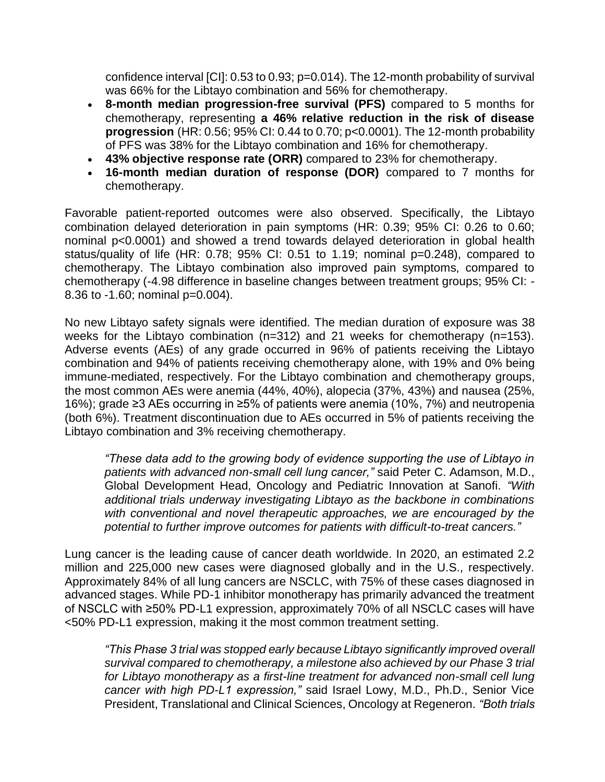confidence interval [CI]: 0.53 to 0.93; p=0.014). The 12-month probability of survival was 66% for the Libtayo combination and 56% for chemotherapy.

- **8-month median progression-free survival (PFS)** compared to 5 months for chemotherapy, representing **a 46% relative reduction in the risk of disease progression** (HR: 0.56; 95% CI: 0.44 to 0.70; p<0.0001). The 12-month probability of PFS was 38% for the Libtayo combination and 16% for chemotherapy.
- **43% objective response rate (ORR)** compared to 23% for chemotherapy.
- **16-month median duration of response (DOR)** compared to 7 months for chemotherapy.

Favorable patient-reported outcomes were also observed. Specifically, the Libtayo combination delayed deterioration in pain symptoms (HR: 0.39; 95% CI: 0.26 to 0.60; nominal p<0.0001) and showed a trend towards delayed deterioration in global health status/quality of life (HR: 0.78; 95% CI: 0.51 to 1.19; nominal p=0.248), compared to chemotherapy. The Libtayo combination also improved pain symptoms, compared to chemotherapy (-4.98 difference in baseline changes between treatment groups; 95% CI: - 8.36 to -1.60; nominal p=0.004).

No new Libtayo safety signals were identified. The median duration of exposure was 38 weeks for the Libtayo combination (n=312) and 21 weeks for chemotherapy (n=153). Adverse events (AEs) of any grade occurred in 96% of patients receiving the Libtayo combination and 94% of patients receiving chemotherapy alone, with 19% and 0% being immune-mediated, respectively. For the Libtayo combination and chemotherapy groups, the most common AEs were anemia (44%, 40%), alopecia (37%, 43%) and nausea (25%, 16%); grade ≥3 AEs occurring in ≥5% of patients were anemia (10%, 7%) and neutropenia (both 6%). Treatment discontinuation due to AEs occurred in 5% of patients receiving the Libtayo combination and 3% receiving chemotherapy.

*"These data add to the growing body of evidence supporting the use of Libtayo in patients with advanced non-small cell lung cancer,"* said Peter C. Adamson, M.D., Global Development Head, Oncology and Pediatric Innovation at Sanofi. *"With additional trials underway investigating Libtayo as the backbone in combinations with conventional and novel therapeutic approaches, we are encouraged by the potential to further improve outcomes for patients with difficult-to-treat cancers."*

Lung cancer is the leading cause of cancer death worldwide. In 2020, an estimated 2.2 million and 225,000 new cases were diagnosed globally and in the U.S., respectively. Approximately 84% of all lung cancers are NSCLC, with 75% of these cases diagnosed in advanced stages. While PD-1 inhibitor monotherapy has primarily advanced the treatment of NSCLC with ≥50% PD-L1 expression, approximately 70% of all NSCLC cases will have <50% PD-L1 expression, making it the most common treatment setting.

*"This Phase 3 trial was stopped early because Libtayo significantly improved overall survival compared to chemotherapy, a milestone also achieved by our Phase 3 trial for Libtayo monotherapy as a first-line treatment for advanced non-small cell lung cancer with high PD-L1 expression,"* said Israel Lowy, M.D., Ph.D., Senior Vice President, Translational and Clinical Sciences, Oncology at Regeneron. *"Both trials*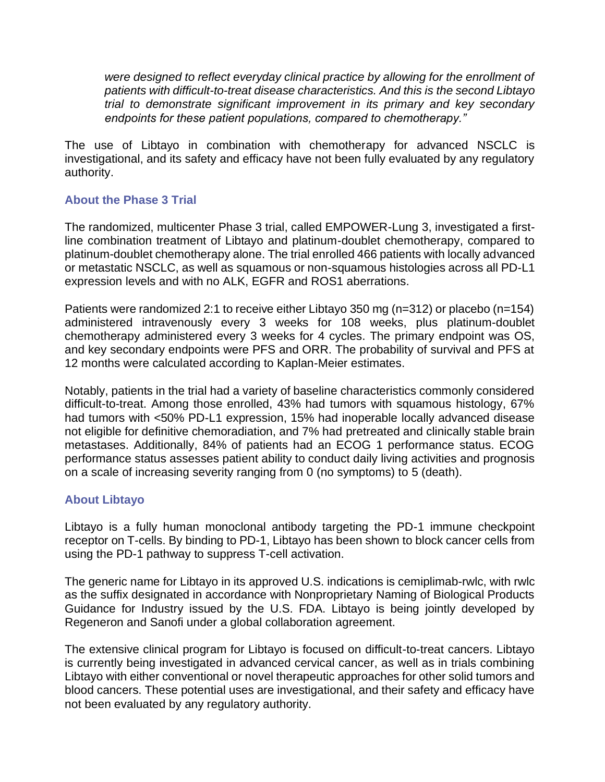*were designed to reflect everyday clinical practice by allowing for the enrollment of patients with difficult-to-treat disease characteristics. And this is the second Libtayo trial to demonstrate significant improvement in its primary and key secondary endpoints for these patient populations, compared to chemotherapy."*

The use of Libtayo in combination with chemotherapy for advanced NSCLC is investigational, and its safety and efficacy have not been fully evaluated by any regulatory authority.

# **About the Phase 3 Trial**

The randomized, multicenter Phase 3 trial, called EMPOWER-Lung 3, investigated a firstline combination treatment of Libtayo and platinum-doublet chemotherapy, compared to platinum-doublet chemotherapy alone. The trial enrolled 466 patients with locally advanced or metastatic NSCLC, as well as squamous or non-squamous histologies across all PD-L1 expression levels and with no ALK, EGFR and ROS1 aberrations.

Patients were randomized 2:1 to receive either Libtayo 350 mg (n=312) or placebo (n=154) administered intravenously every 3 weeks for 108 weeks, plus platinum-doublet chemotherapy administered every 3 weeks for 4 cycles. The primary endpoint was OS, and key secondary endpoints were PFS and ORR. The probability of survival and PFS at 12 months were calculated according to Kaplan-Meier estimates.

Notably, patients in the trial had a variety of baseline characteristics commonly considered difficult-to-treat. Among those enrolled, 43% had tumors with squamous histology, 67% had tumors with <50% PD-L1 expression, 15% had inoperable locally advanced disease not eligible for definitive chemoradiation, and 7% had pretreated and clinically stable brain metastases. Additionally, 84% of patients had an ECOG 1 performance status. ECOG performance status assesses patient ability to conduct daily living activities and prognosis on a scale of increasing severity ranging from 0 (no symptoms) to 5 (death).

## **About Libtayo**

Libtayo is a fully human monoclonal antibody targeting the PD-1 immune checkpoint receptor on T-cells. By binding to PD-1, Libtayo has been shown to block cancer cells from using the PD-1 pathway to suppress T-cell activation.

The generic name for Libtayo in its approved U.S. indications is cemiplimab-rwlc, with rwlc as the suffix designated in accordance with Nonproprietary Naming of Biological Products Guidance for Industry issued by the U.S. FDA. Libtayo is being jointly developed by Regeneron and Sanofi under a global collaboration agreement.

The extensive clinical program for Libtayo is focused on difficult-to-treat cancers. Libtayo is currently being investigated in advanced cervical cancer, as well as in trials combining Libtayo with either conventional or novel therapeutic approaches for other solid tumors and blood cancers. These potential uses are investigational, and their safety and efficacy have not been evaluated by any regulatory authority.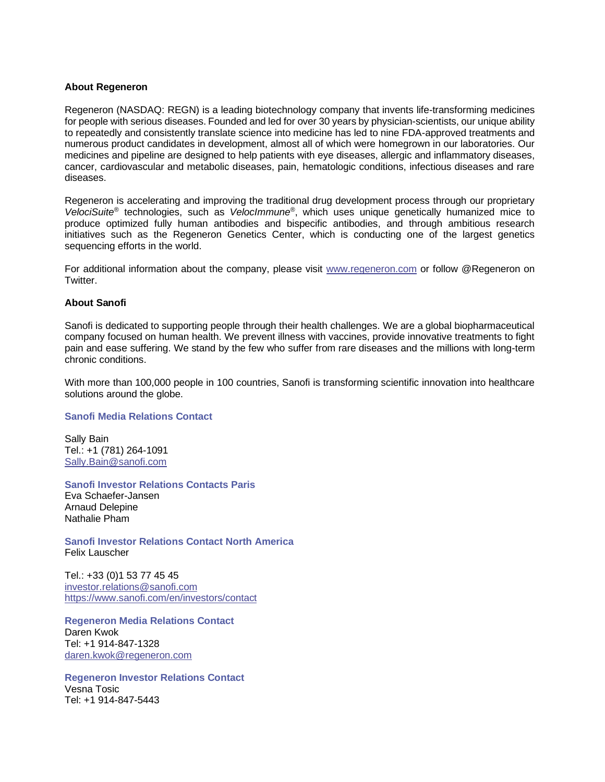### **About Regeneron**

Regeneron (NASDAQ: REGN) is a leading biotechnology company that invents life-transforming medicines for people with serious diseases. Founded and led for over 30 years by physician-scientists, our unique ability to repeatedly and consistently translate science into medicine has led to nine FDA-approved treatments and numerous product candidates in development, almost all of which were homegrown in our laboratories. Our medicines and pipeline are designed to help patients with eye diseases, allergic and inflammatory diseases, cancer, cardiovascular and metabolic diseases, pain, hematologic conditions, infectious diseases and rare diseases.

Regeneron is accelerating and improving the traditional drug development process through our proprietary *VelociSuite®* technologies, such as *VelocImmune®* , which uses unique genetically humanized mice to produce optimized fully human antibodies and bispecific antibodies, and through ambitious research initiatives such as the Regeneron Genetics Center, which is conducting one of the largest genetics sequencing efforts in the world.

For additional information about the company, please visit [www.regeneron.com](https://www.regeneron.com/) or follow @Regeneron on Twitter.

### **About Sanofi**

Sanofi is dedicated to supporting people through their health challenges. We are a global biopharmaceutical company focused on human health. We prevent illness with vaccines, provide innovative treatments to fight pain and ease suffering. We stand by the few who suffer from rare diseases and the millions with long-term chronic conditions.

With more than 100,000 people in 100 countries, Sanofi is transforming scientific innovation into healthcare solutions around the globe.

## **Sanofi Media Relations Contact**

Sally Bain Tel.: +1 (781) 264-1091 [Sally.Bain@sanofi.com](mailto:Sally.Bain@sanofi.com)

**Sanofi Investor Relations Contacts Paris**

Eva Schaefer-Jansen Arnaud Delepine Nathalie Pham

**Sanofi Investor Relations Contact North America** Felix Lauscher

Tel.: +33 (0)1 53 77 45 45 [investor.relations@sanofi.com](mailto:investor.relations@sanofi.com) <https://www.sanofi.com/en/investors/contact>

**Regeneron Media Relations Contact** Daren Kwok Tel: +1 914-847-1328 [daren.kwok@regeneron.com](mailto:daren.kwok@regeneron.com)

**Regeneron Investor Relations Contact** Vesna Tosic Tel: +1 914-847-5443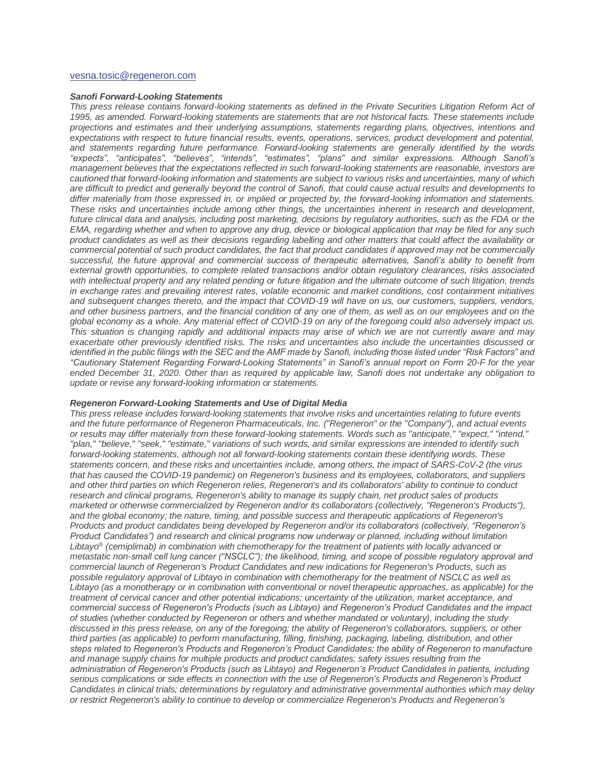#### [vesna.tosic@regeneron.com](mailto:vesna.tosic@regeneron.com)

#### *Sanofi Forward-Looking Statements*

*This press release contains forward-looking statements as defined in the Private Securities Litigation Reform Act of 1995, as amended. Forward-looking statements are statements that are not historical facts. These statements include projections and estimates and their underlying assumptions, statements regarding plans, objectives, intentions and expectations with respect to future financial results, events, operations, services, product development and potential, and statements regarding future performance. Forward-looking statements are generally identified by the words "expects", "anticipates", "believes", "intends", "estimates", "plans" and similar expressions. Although Sanofi's management believes that the expectations reflected in such forward-looking statements are reasonable, investors are cautioned that forward-looking information and statements are subject to various risks and uncertainties, many of which are difficult to predict and generally beyond the control of Sanofi, that could cause actual results and developments to differ materially from those expressed in, or implied or projected by, the forward-looking information and statements. These risks and uncertainties include among other things, the uncertainties inherent in research and development,*  future clinical data and analysis, including post marketing, decisions by regulatory authorities, such as the FDA or the *EMA, regarding whether and when to approve any drug, device or biological application that may be filed for any such product candidates as well as their decisions regarding labelling and other matters that could affect the availability or commercial potential of such product candidates, the fact that product candidates if approved may not be commercially successful, the future approval and commercial success of therapeutic alternatives, Sanofi's ability to benefit from external growth opportunities, to complete related transactions and/or obtain regulatory clearances, risks associated with intellectual property and any related pending or future litigation and the ultimate outcome of such litigation, trends in exchange rates and prevailing interest rates, volatile economic and market conditions, cost containment initiatives and subsequent changes thereto, and the impact that COVID-19 will have on us, our customers, suppliers, vendors, and other business partners, and the financial condition of any one of them, as well as on our employees and on the global economy as a whole. Any material effect of COVID-19 on any of the foregoing could also adversely impact us. This situation is changing rapidly and additional impacts may arise of which we are not currently aware and may exacerbate other previously identified risks. The risks and uncertainties also include the uncertainties discussed or identified in the public filings with the SEC and the AMF made by Sanofi, including those listed under "Risk Factors" and "Cautionary Statement Regarding Forward-Looking Statements" in Sanofi's annual report on Form 20-F for the year ended December 31, 2020. Other than as required by applicable law, Sanofi does not undertake any obligation to update or revise any forward-looking information or statements.*

#### *Regeneron Forward-Looking Statements and Use of Digital Media*

*This press release includes forward-looking statements that involve risks and uncertainties relating to future events and the future performance of Regeneron Pharmaceuticals, Inc. ("Regeneron" or the "Company"), and actual events or results may differ materially from these forward-looking statements. Words such as "anticipate," "expect," "intend," "plan," "believe," "seek," "estimate," variations of such words, and similar expressions are intended to identify such*  forward-looking statements, although not all forward-looking statements contain these identifying words. These *statements concern, and these risks and uncertainties include, among others, the impact of SARS-CoV-2 (the virus that has caused the COVID-19 pandemic) on Regeneron's business and its employees, collaborators, and suppliers and other third parties on which Regeneron relies, Regeneron's and its collaborators' ability to continue to conduct research and clinical programs, Regeneron's ability to manage its supply chain, net product sales of products*  marketed or otherwise commercialized by Regeneron and/or its collaborators (collectively, "Regeneron's Products"), *and the global economy; the nature, timing, and possible success and therapeutic applications of Regeneron's Products and product candidates being developed by Regeneron and/or its collaborators (collectively, "Regeneron's Product Candidates") and research and clinical programs now underway or planned, including without limitation Libtayo® (cemiplimab) in combination with chemotherapy for the treatment of patients with locally advanced or metastatic non-small cell lung cancer ("NSCLC"); the likelihood, timing, and scope of possible regulatory approval and commercial launch of Regeneron's Product Candidates and new indications for Regeneron's Products, such as possible regulatory approval of Libtayo in combination with chemotherapy for the treatment of NSCLC as well as Libtayo (as a monotherapy or in combination with conventional or novel therapeutic approaches, as applicable) for the treatment of cervical cancer and other potential indications; uncertainty of the utilization, market acceptance, and commercial success of Regeneron's Products (such as Libtayo) and Regeneron's Product Candidates and the impact of studies (whether conducted by Regeneron or others and whether mandated or voluntary), including the study discussed in this press release, on any of the foregoing; the ability of Regeneron's collaborators, suppliers, or other third parties (as applicable) to perform manufacturing, filling, finishing, packaging, labeling, distribution, and other steps related to Regeneron's Products and Regeneron's Product Candidates; the ability of Regeneron to manufacture and manage supply chains for multiple products and product candidates; safety issues resulting from the administration of Regeneron's Products (such as Libtayo) and Regeneron's Product Candidates in patients, including serious complications or side effects in connection with the use of Regeneron's Products and Regeneron's Product Candidates in clinical trials; determinations by regulatory and administrative governmental authorities which may delay or restrict Regeneron's ability to continue to develop or commercialize Regeneron's Products and Regeneron's*